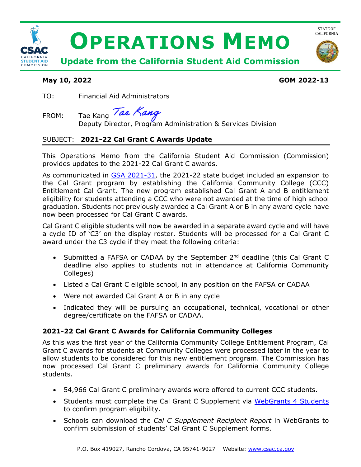

## **May 10, 2022 GOM 2022-13**

TO: Financial Aid Administrators

FROM: Tae Kang Tae Kang

Deputy Director, Program Administration & Services Division

# SUBJECT: **2021-22 Cal Grant C Awards Update**

This Operations Memo from the California Student Aid Commission (Commission) provides updates to the 2021-22 Cal Grant C awards.

As communicated in [GSA 2021-31,](https://www.csac.ca.gov/sites/main/files/file-attachments/gsa_2021-31.pdf) the 2021-22 state budget included an expansion to the Cal Grant program by establishing the California Community College (CCC) Entitlement Cal Grant. The new program established Cal Grant A and B entitlement eligibility for students attending a CCC who were not awarded at the time of high school graduation. Students not previously awarded a Cal Grant A or B in any award cycle have now been processed for Cal Grant C awards.

Cal Grant C eligible students will now be awarded in a separate award cycle and will have a cycle ID of 'C3' on the display roster. Students will be processed for a Cal Grant C award under the C3 cycle if they meet the following criteria:

- Submitted a FAFSA or CADAA by the September 2<sup>nd</sup> deadline (this Cal Grant C deadline also applies to students not in attendance at California Community Colleges)
- Listed a Cal Grant C eligible school, in any position on the FAFSA or CADAA
- Were not awarded Cal Grant A or B in any cycle
- Indicated they will be pursuing an occupational, technical, vocational or other degree/certificate on the FAFSA or CADAA.

# **2021-22 Cal Grant C Awards for California Community Colleges**

As this was the first year of the California Community College Entitlement Program, Cal Grant C awards for students at Community Colleges were processed later in the year to allow students to be considered for this new entitlement program. The Commission has now processed Cal Grant C preliminary awards for California Community College students.

- 54,966 Cal Grant C preliminary awards were offered to current CCC students.
- Students must complete the Cal Grant C Supplement via [WebGrants 4 Students](https://mygrantinfo.csac.ca.gov/) to confirm program eligibility.
- Schools can download the *Cal C Supplement Recipient Report* in WebGrants to confirm submission of students' Cal Grant C Supplement forms.